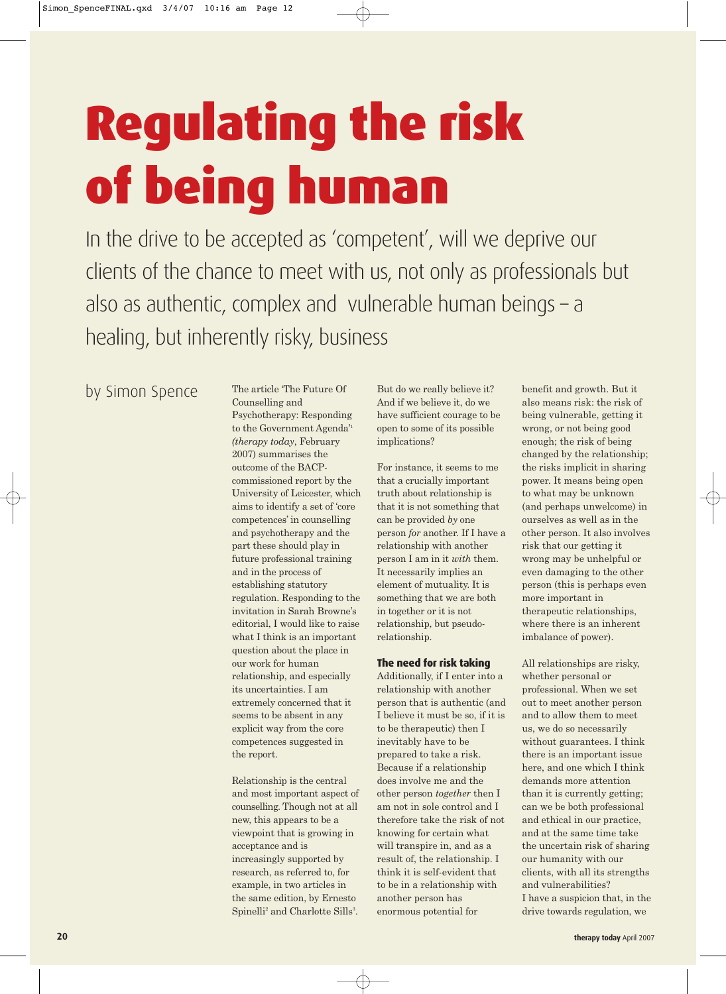## Regulating the risk of being human

In the drive to be accepted as 'competent', will we deprive our clients of the chance to meet with us, not only as professionals but also as authentic, complex and vulnerable human beings – a healing, but inherently risky, business

by Simon Spence

Counselling and Psychotherapy: Responding to the Government Agenda'1 *(therapy today*, February 2007) summarises the outcome of the BACPcommissioned report by the University of Leicester, which aims to identify a set of 'core competences' in counselling and psychotherapy and the part these should play in future professional training and in the process of establishing statutory regulation. Responding to the invitation in Sarah Browne's editorial, I would like to raise what I think is an important question about the place in our work for human relationship, and especially its uncertainties. I am extremely concerned that it seems to be absent in any explicit way from the core competences suggested in the report.

The article 'The Future Of

Relationship is the central and most important aspect of counselling. Though not at all new, this appears to be a viewpoint that is growing in acceptance and is increasingly supported by research, as referred to, for example, in two articles in the same edition, by Ernesto Spinelli<sup>2</sup> and Charlotte Sills<sup>3</sup>.

But do we really believe it? And if we believe it, do we have sufficient courage to be open to some of its possible implications?

For instance, it seems to me that a crucially important truth about relationship is that it is not something that can be provided *by* one person *for* another. If I have a relationship with another person I am in it *with* them. It necessarily implies an element of mutuality. It is something that we are both in together or it is not relationship, but pseudorelationship.

## **The need for risk taking**

Additionally, if I enter into a relationship with another person that is authentic (and I believe it must be so, if it is to be therapeutic) then I inevitably have to be prepared to take a risk. Because if a relationship does involve me and the other person *together* then I am not in sole control and I therefore take the risk of not knowing for certain what will transpire in, and as a result of, the relationship. I think it is self-evident that to be in a relationship with another person has enormous potential for

benefit and growth. But it also means risk: the risk of being vulnerable, getting it wrong, or not being good enough; the risk of being changed by the relationship; the risks implicit in sharing power. It means being open to what may be unknown (and perhaps unwelcome) in ourselves as well as in the other person. It also involves risk that our getting it wrong may be unhelpful or even damaging to the other person (this is perhaps even more important in therapeutic relationships, where there is an inherent imbalance of power).

All relationships are risky, whether personal or professional. When we set out to meet another person and to allow them to meet us, we do so necessarily without guarantees. I think there is an important issue here, and one which I think demands more attention than it is currently getting; can we be both professional and ethical in our practice, and at the same time take the uncertain risk of sharing our humanity with our clients, with all its strengths and vulnerabilities? I have a suspicion that, in the drive towards regulation, we